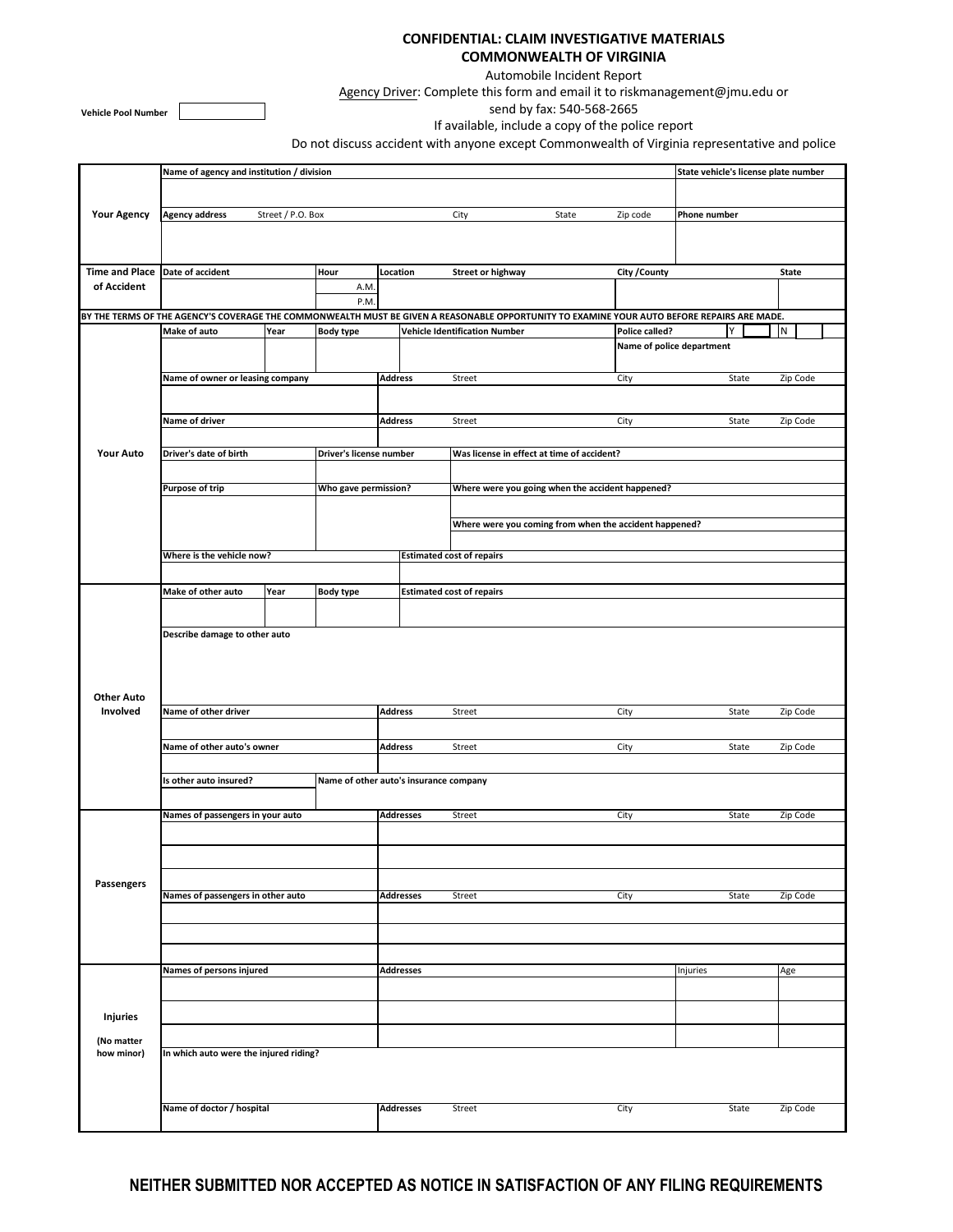## **CONFIDENTIAL: CLAIM INVESTIGATIVE MATERIALS COMMONWEALTH OF VIRGINIA**

Automobile Incident Report

Agency Driver: Complete this form and email it to riskmanagement@jmu.edu or

**Vehicle Pool Number**

send by fax: 540-568-2665

If available, include a copy of the police report

Do not discuss accident with anyone except Commonwealth of Virginia representative and police

|                                 | Name of agency and institution / division                                                                                                   |                                        |                                  |                                                        |                          |                                            |                |                           |                   | State vehicle's license plate number |  |  |
|---------------------------------|---------------------------------------------------------------------------------------------------------------------------------------------|----------------------------------------|----------------------------------|--------------------------------------------------------|--------------------------|--------------------------------------------|----------------|---------------------------|-------------------|--------------------------------------|--|--|
| <b>Your Agency</b>              |                                                                                                                                             |                                        |                                  |                                                        |                          |                                            |                |                           |                   |                                      |  |  |
|                                 | <b>Agency address</b><br>Street / P.O. Box                                                                                                  |                                        | City<br>State                    |                                                        |                          | Zip code                                   | Phone number   |                           |                   |                                      |  |  |
|                                 |                                                                                                                                             |                                        |                                  |                                                        |                          |                                            |                |                           |                   |                                      |  |  |
|                                 |                                                                                                                                             |                                        |                                  |                                                        |                          |                                            |                |                           |                   |                                      |  |  |
| Time and Place Date of accident | Hour                                                                                                                                        |                                        |                                  | Location                                               | <b>Street or highway</b> |                                            |                | City / County             |                   | State                                |  |  |
| of Accident                     | A.M.<br>P.M.                                                                                                                                |                                        |                                  |                                                        |                          |                                            |                |                           |                   |                                      |  |  |
|                                 | BY THE TERMS OF THE AGENCY'S COVERAGE THE COMMONWEALTH MUST BE GIVEN A REASONABLE OPPORTUNITY TO EXAMINE YOUR AUTO BEFORE REPAIRS ARE MADE. |                                        |                                  |                                                        |                          |                                            |                |                           |                   |                                      |  |  |
| <b>Your Auto</b>                | Make of auto<br>Year                                                                                                                        |                                        | <b>Body type</b>                 |                                                        |                          | <b>Vehicle Identification Number</b>       | Police called? | N                         |                   |                                      |  |  |
|                                 |                                                                                                                                             |                                        |                                  |                                                        |                          |                                            |                | Name of police department |                   |                                      |  |  |
|                                 | Name of owner or leasing company                                                                                                            |                                        |                                  | <b>Address</b>                                         |                          | Street                                     |                | City                      | State             | Zip Code                             |  |  |
|                                 |                                                                                                                                             |                                        |                                  |                                                        |                          |                                            |                |                           |                   |                                      |  |  |
|                                 | Name of driver                                                                                                                              |                                        |                                  | <b>Address</b>                                         |                          | Street                                     | City           | Zip Code<br>State         |                   |                                      |  |  |
|                                 |                                                                                                                                             |                                        |                                  |                                                        |                          |                                            |                |                           |                   |                                      |  |  |
|                                 | Driver's date of birth                                                                                                                      |                                        |                                  | Driver's license number                                |                          | Was license in effect at time of accident? |                |                           |                   |                                      |  |  |
|                                 |                                                                                                                                             |                                        |                                  |                                                        |                          |                                            |                |                           |                   |                                      |  |  |
|                                 | <b>Purpose of trip</b><br>Who gave permission?                                                                                              |                                        |                                  | Where were you going when the accident happened?       |                          |                                            |                |                           |                   |                                      |  |  |
|                                 |                                                                                                                                             |                                        |                                  | Where were you coming from when the accident happened? |                          |                                            |                |                           |                   |                                      |  |  |
|                                 |                                                                                                                                             |                                        |                                  |                                                        |                          |                                            |                |                           |                   |                                      |  |  |
|                                 | Where is the vehicle now?                                                                                                                   |                                        | <b>Estimated cost of repairs</b> |                                                        |                          |                                            |                |                           |                   |                                      |  |  |
|                                 |                                                                                                                                             |                                        |                                  |                                                        |                          |                                            |                |                           |                   |                                      |  |  |
|                                 | Make of other auto                                                                                                                          | Year                                   | <b>Body type</b>                 |                                                        |                          | <b>Estimated cost of repairs</b>           |                |                           |                   |                                      |  |  |
|                                 |                                                                                                                                             |                                        |                                  |                                                        |                          |                                            |                |                           |                   |                                      |  |  |
|                                 | Describe damage to other auto                                                                                                               |                                        |                                  |                                                        |                          |                                            |                |                           |                   |                                      |  |  |
|                                 |                                                                                                                                             |                                        |                                  |                                                        |                          |                                            |                |                           |                   |                                      |  |  |
|                                 |                                                                                                                                             |                                        |                                  |                                                        |                          |                                            |                |                           |                   |                                      |  |  |
| <b>Other Auto</b><br>Involved   |                                                                                                                                             |                                        |                                  |                                                        |                          |                                            |                |                           |                   |                                      |  |  |
|                                 | Name of other driver                                                                                                                        |                                        |                                  | <b>Address</b>                                         |                          | Street<br>City                             |                |                           | State<br>Zip Code |                                      |  |  |
|                                 | Name of other auto's owner                                                                                                                  |                                        |                                  | <b>Address</b>                                         |                          | Street<br>City                             |                |                           | State             | Zip Code                             |  |  |
|                                 |                                                                                                                                             |                                        |                                  |                                                        |                          |                                            |                |                           |                   |                                      |  |  |
|                                 | Is other auto insured?                                                                                                                      | Name of other auto's insurance company |                                  |                                                        |                          |                                            |                |                           |                   |                                      |  |  |
|                                 |                                                                                                                                             |                                        |                                  |                                                        |                          |                                            |                |                           |                   |                                      |  |  |
| Passengers                      | Names of passengers in your auto                                                                                                            |                                        | <b>Addresses</b>                 |                                                        | Street                   |                                            | City           | State                     | Zip Code          |                                      |  |  |
|                                 |                                                                                                                                             |                                        |                                  |                                                        |                          |                                            |                |                           |                   |                                      |  |  |
|                                 |                                                                                                                                             |                                        |                                  |                                                        |                          |                                            |                |                           |                   |                                      |  |  |
|                                 |                                                                                                                                             |                                        |                                  |                                                        |                          |                                            |                |                           |                   |                                      |  |  |
|                                 | Names of passengers in other auto                                                                                                           |                                        |                                  | <b>Addresses</b>                                       |                          | Street                                     |                | City                      | State             | Zip Code                             |  |  |
|                                 |                                                                                                                                             |                                        |                                  |                                                        |                          |                                            |                |                           |                   |                                      |  |  |
|                                 |                                                                                                                                             |                                        |                                  |                                                        |                          |                                            |                |                           |                   |                                      |  |  |
|                                 | Names of persons injured                                                                                                                    | <b>Addresses</b>                       |                                  |                                                        |                          |                                            | Injuries       | Age                       |                   |                                      |  |  |
|                                 |                                                                                                                                             |                                        |                                  |                                                        |                          |                                            |                |                           |                   |                                      |  |  |
|                                 |                                                                                                                                             |                                        |                                  |                                                        |                          |                                            |                |                           |                   |                                      |  |  |
| <b>Injuries</b>                 |                                                                                                                                             |                                        |                                  |                                                        |                          |                                            |                |                           |                   |                                      |  |  |
| (No matter                      |                                                                                                                                             |                                        |                                  |                                                        |                          |                                            |                |                           |                   |                                      |  |  |
| how minor)                      | In which auto were the injured riding?                                                                                                      |                                        |                                  |                                                        |                          |                                            |                |                           |                   |                                      |  |  |
|                                 |                                                                                                                                             |                                        |                                  |                                                        |                          |                                            |                |                           |                   |                                      |  |  |
|                                 | Name of doctor / hospital                                                                                                                   | <b>Addresses</b>                       |                                  | Street                                                 |                          | City                                       | State          | Zip Code                  |                   |                                      |  |  |
|                                 |                                                                                                                                             |                                        |                                  |                                                        |                          |                                            |                |                           |                   |                                      |  |  |